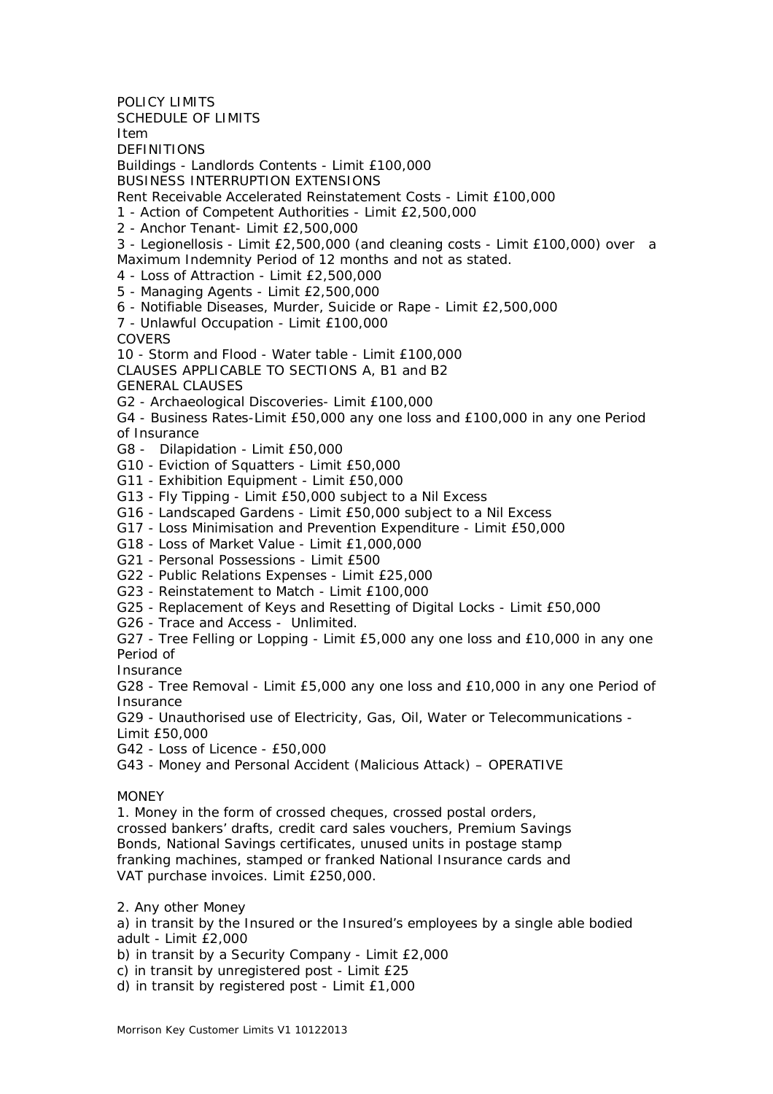POLICY LIMITS SCHEDULE OF LIMITS Item **DEFINITIONS** Buildings - Landlords Contents - Limit £100,000 BUSINESS INTERRUPTION EXTENSIONS Rent Receivable Accelerated Reinstatement Costs - Limit £100,000 1 - Action of Competent Authorities - Limit £2,500,000 2 - Anchor Tenant- Limit £2,500,000 3 - Legionellosis - Limit £2,500,000 (and cleaning costs - Limit £100,000) over a Maximum Indemnity Period of 12 months and not as stated. 4 - Loss of Attraction - Limit £2,500,000 5 - Managing Agents - Limit £2,500,000 6 - Notifiable Diseases, Murder, Suicide or Rape - Limit £2,500,000 7 - Unlawful Occupation - Limit £100,000 **COVERS** 10 - Storm and Flood - Water table - Limit £100,000 CLAUSES APPLICABLE TO SECTIONS A, B1 and B2 GENERAL CLAUSES G2 - Archaeological Discoveries- Limit £100,000 G4 - Business Rates-Limit £50,000 any one loss and £100,000 in any one Period of Insurance G8 - Dilapidation - Limit £50,000 G10 - Eviction of Squatters - Limit £50,000 G11 - Exhibition Equipment - Limit £50,000 G13 - Fly Tipping - Limit £50,000 subject to a Nil Excess G16 - Landscaped Gardens - Limit £50,000 subject to a Nil Excess G17 - Loss Minimisation and Prevention Expenditure - Limit £50,000 G18 - Loss of Market Value - Limit £1,000,000 G21 - Personal Possessions - Limit £500 G22 - Public Relations Expenses - Limit £25,000 G23 - Reinstatement to Match - Limit £100,000 G25 - Replacement of Keys and Resetting of Digital Locks - Limit £50,000 G26 - Trace and Access - Unlimited. G27 - Tree Felling or Lopping - Limit £5,000 any one loss and £10,000 in any one Period of Insurance G28 - Tree Removal - Limit £5,000 any one loss and £10,000 in any one Period of Insurance G29 - Unauthorised use of Electricity, Gas, Oil, Water or Telecommunications - Limit £50,000 G42 - Loss of Licence - £50,000 G43 - Money and Personal Accident (Malicious Attack) – OPERATIVE MONEY 1. Money in the form of crossed cheques, crossed postal orders, crossed bankers' drafts, credit card sales vouchers, Premium Savings Bonds, National Savings certificates, unused units in postage stamp franking machines, stamped or franked National Insurance cards and VAT purchase invoices. Limit £250,000.

2. Any other Money

a) in transit by the Insured or the Insured's employees by a single able bodied adult - Limit £2,000

b) in transit by a Security Company - Limit £2,000

c) in transit by unregistered post - Limit £25

d) in transit by registered post - Limit £1,000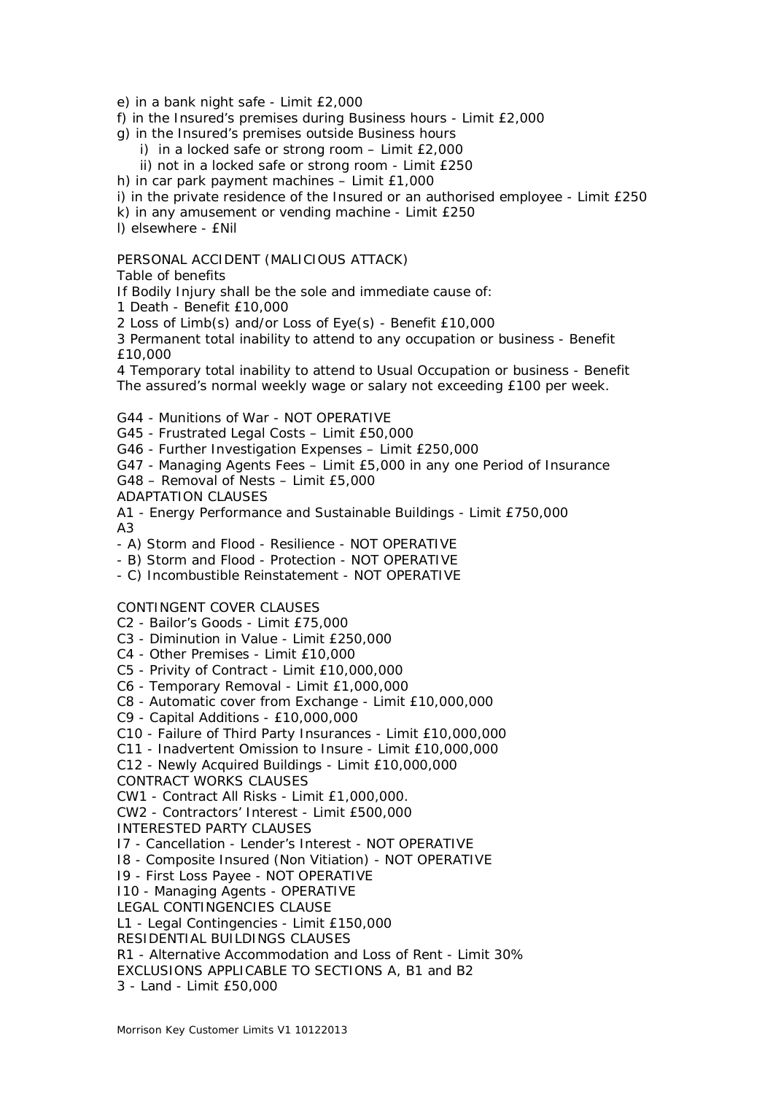e) in a bank night safe - Limit £2,000

f) in the Insured's premises during Business hours - Limit £2,000

- g) in the Insured's premises outside Business hours
	- i) in a locked safe or strong room Limit £2,000
	- ii) not in a locked safe or strong room Limit £250

h) in car park payment machines – Limit £1,000

i) in the private residence of the Insured or an authorised employee - Limit £250

k) in any amusement or vending machine - Limit £250

l) elsewhere - £Nil

## PERSONAL ACCIDENT (MALICIOUS ATTACK)

Table of benefits

If Bodily Injury shall be the sole and immediate cause of:

1 Death - Benefit £10,000

2 Loss of Limb(s) and/or Loss of Eye(s) - Benefit £10,000

3 Permanent total inability to attend to any occupation or business - Benefit £10,000

4 Temporary total inability to attend to Usual Occupation or business - Benefit The assured's normal weekly wage or salary not exceeding £100 per week.

G44 - Munitions of War - NOT OPERATIVE

G45 - Frustrated Legal Costs – Limit £50,000

G46 - Further Investigation Expenses – Limit £250,000

G47 - Managing Agents Fees – Limit £5,000 in any one Period of Insurance

G48 – Removal of Nests – Limit £5,000

ADAPTATION CLAUSES

A1 - Energy Performance and Sustainable Buildings - Limit £750,000 A3

- A) Storm and Flood - Resilience - NOT OPERATIVE

- B) Storm and Flood - Protection - NOT OPERATIVE

- C) Incombustible Reinstatement - NOT OPERATIVE

## CONTINGENT COVER CLAUSES

C2 - Bailor's Goods - Limit £75,000

C3 - Diminution in Value - Limit £250,000

C4 - Other Premises - Limit £10,000

C5 - Privity of Contract - Limit £10,000,000

C6 - Temporary Removal - Limit £1,000,000

C8 - Automatic cover from Exchange - Limit £10,000,000

C9 - Capital Additions - £10,000,000

C10 - Failure of Third Party Insurances - Limit £10,000,000

C11 - Inadvertent Omission to Insure - Limit £10,000,000

C12 - Newly Acquired Buildings - Limit £10,000,000

CONTRACT WORKS CLAUSES

CW1 - Contract All Risks - Limit £1,000,000.

CW2 - Contractors' Interest - Limit £500,000

INTERESTED PARTY CLAUSES

I7 - Cancellation - Lender's Interest - NOT OPERATIVE

I8 - Composite Insured (Non Vitiation) - NOT OPERATIVE

I9 - First Loss Payee - NOT OPERATIVE

I10 - Managing Agents - OPERATIVE

LEGAL CONTINGENCIES CLAUSE

L1 - Legal Contingencies - Limit £150,000

RESIDENTIAL BUILDINGS CLAUSES

R1 - Alternative Accommodation and Loss of Rent - Limit 30%

EXCLUSIONS APPLICABLE TO SECTIONS A, B1 and B2

3 - Land - Limit £50,000